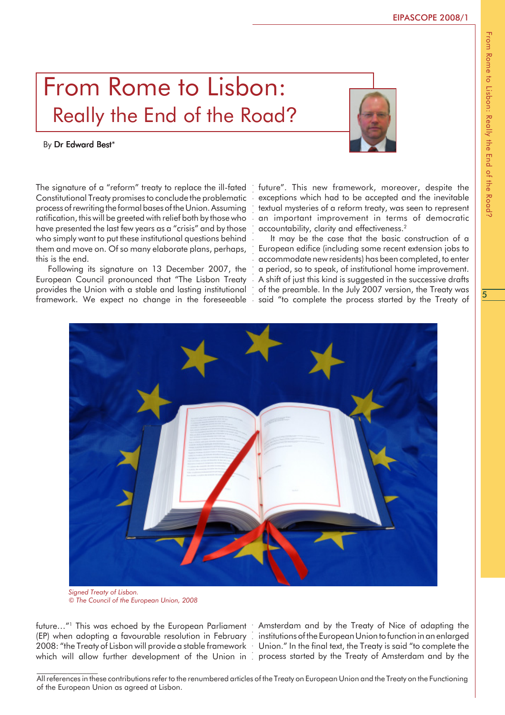## From Rome to Lisbon: Really the End of the Road?

## By Dr Edward Best\*

The signature of a "reform" treaty to replace the ill-fated Constitutional Treaty promises to conclude the problematic process of rewriting the formal bases of the Union. Assuming ratification, this will be greeted with relief both by those who have presented the last few years as a "crisis" and by those who simply want to put these institutional questions behind them and move on. Of so many elaborate plans, perhaps, this is the end.

Following its signature on 13 December 2007, the European Council pronounced that "The Lisbon Treaty provides the Union with a stable and lasting institutional framework. We expect no change in the foreseeable future". This new framework, moreover, despite the exceptions which had to be accepted and the inevitable textual mysteries of a reform treaty, was seen to represent an important improvement in terms of democratic accountability, clarity and effectiveness.<sup>2</sup>

It may be the case that the basic construction of a European edifice (including some recent extension jobs to accommodate new residents) has been completed, to enter a period, so to speak, of institutional home improvement. A shift of just this kind is suggested in the successive drafts of the preamble. In the July 2007 version, the Treaty was said "to complete the process started by the Treaty of



*© The Council of the European Union, 2008*

(EP) when adopting a favourable resolution in February . institutions of the European Union to function in an enlarged 2008: "the Treaty of Lisbon will provide a stable framework • Union." In the final text, the Treaty is said "to complete the

future…"1 This was echoed by the European Parliament • Amsterdam and by the Treaty of Nice of adapting the which will allow further development of the Union in  $\,$  process started by the Treaty of Amsterdam and by the



From Rome to Lisbon: Really the End of the RoadFrom Rome to Lisbon: Really the End of the Road?

All references in these contributions refer to the renumbered articles of the Treaty on European Union and the Treaty on the Functioning of the European Union as agreed at Lisbon.